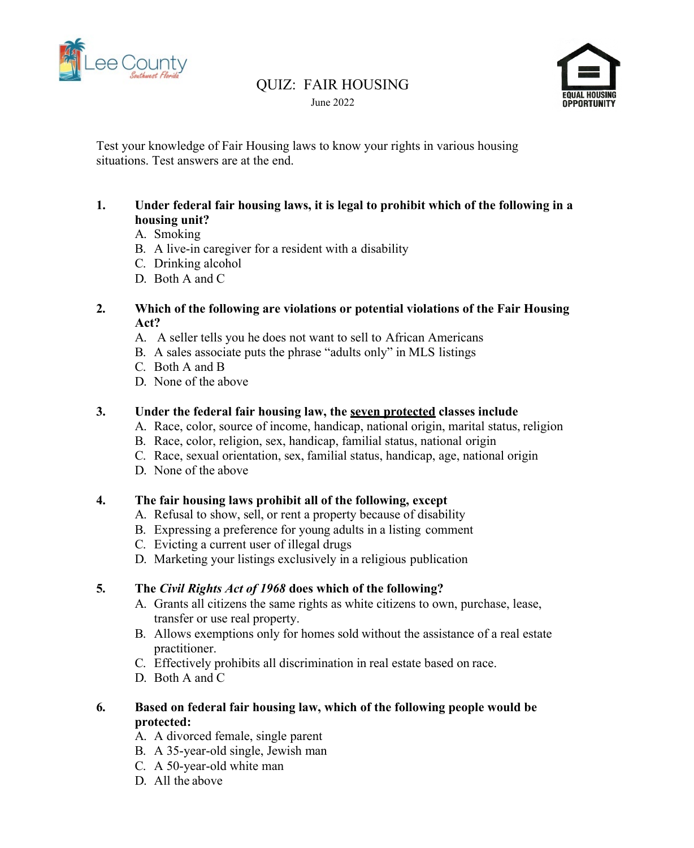

### QUIZ: FAIR HOUSING June 2022



Test your knowledge of Fair Housing laws to know your rights in various housing situations. Test answers are at the end.

#### **1. Under federal fair housing laws, it is legal to prohibit which of the following in a housing unit?**

- A. Smoking
- B. A live-in caregiver for a resident with a disability
- C. Drinking alcohol
- D. Both A and C

#### **2. Which of the following are violations or potential violations of the Fair Housing Act?**

- A. A seller tells you he does not want to sell to African Americans
- B. A sales associate puts the phrase "adults only" in MLS listings
- C. Both A and B
- D. None of the above

#### **3. Under the federal fair housing law, the seven protected classes include**

- A. Race, color, source of income, handicap, national origin, marital status, religion
- B. Race, color, religion, sex, handicap, familial status, national origin
- C. Race, sexual orientation, sex, familial status, handicap, age, national origin
- D. None of the above

#### **4. The fair housing laws prohibit all of the following, except**

- A. Refusal to show, sell, or rent a property because of disability
- B. Expressing a preference for young adults in a listing comment
- C. Evicting a current user of illegal drugs
- D. Marketing your listings exclusively in a religious publication

#### **5. The** *Civil Rights Act of 1968* **does which of the following?**

- A. Grants all citizens the same rights as white citizens to own, purchase, lease, transfer or use real property.
- B. Allows exemptions only for homes sold without the assistance of a real estate practitioner.
- C. Effectively prohibits all discrimination in real estate based on race.
- D. Both A and C

#### **6. Based on federal fair housing law, which of the following people would be protected:**

- A. A divorced female, single parent
- B. A 35-year-old single, Jewish man
- C. A 50-year-old white man
- D. All the above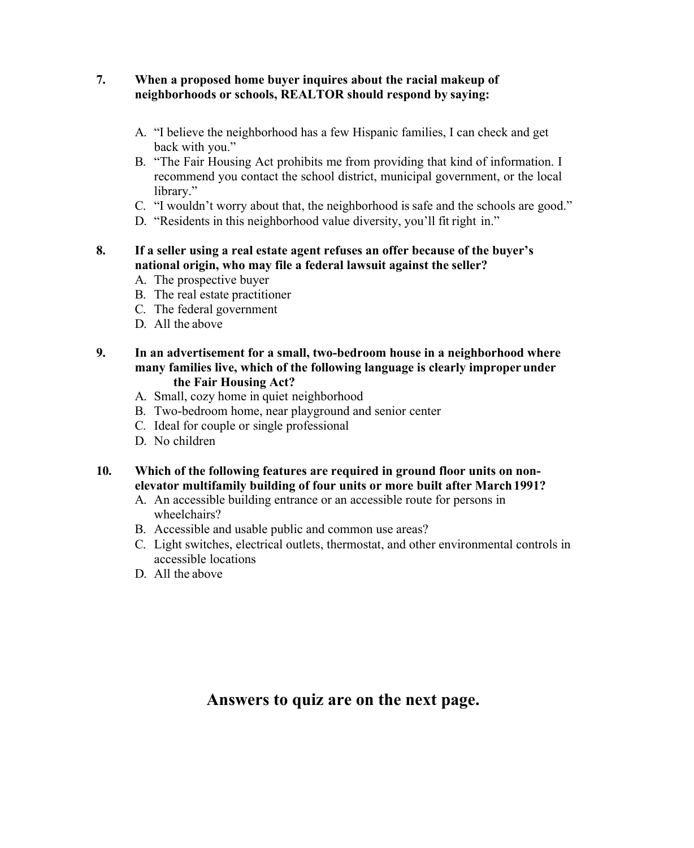#### **7. When a proposed home buyer inquires about the racial makeup of neighborhoods or schools, REALTOR should respond by saying:**

- A. "I believe the neighborhood has a few Hispanic families, I can check and get back with you."
- B. "The Fair Housing Act prohibits me from providing that kind of information. I recommend you contact the school district, municipal government, or the local library."
- C. "I wouldn't worry about that, the neighborhood is safe and the schools are good."
- D. "Residents in this neighborhood value diversity, you'll fit right in."
- **8. If a seller using a real estate agent refuses an offer because of the buyer's national origin, who may file a federal lawsuit against the seller?**
	- A. The prospective buyer
	- B. The real estate practitioner
	- C. The federal government
	- D. All the above
- **9. In an advertisement for a small, two-bedroom house in a neighborhood where many families live, which of the following language is clearly improper under the Fair Housing Act?**
	- A. Small, cozy home in quiet neighborhood
	- B. Two-bedroom home, near playground and senior center
	- C. Ideal for couple or single professional
	- D. No children

#### **10. Which of the following features are required in ground floor units on nonelevator multifamily building of four units or more built after March1991?**

- A. An accessible building entrance or an accessible route for persons in wheelchairs?
- B. Accessible and usable public and common use areas?
- C. Light switches, electrical outlets, thermostat, and other environmental controls in accessible locations
- D. All the above

# **Answers to quiz are on the next page.**